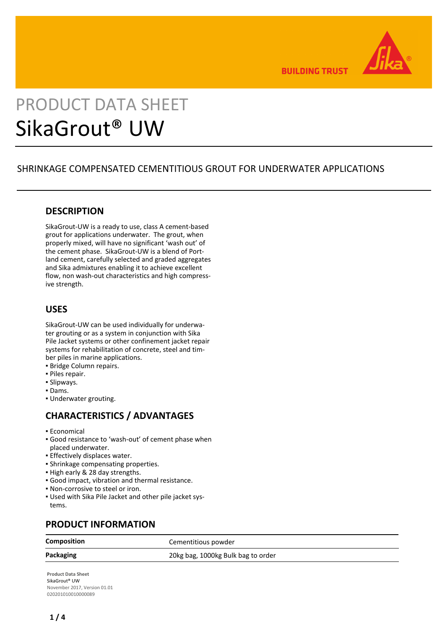

**BUILDING TRUST** 

# PRODUCT DATA SHEET SikaGrout® UW

# SHRINKAGE COMPENSATED CEMENTITIOUS GROUT FOR UNDERWATER APPLICATIONS

# **DESCRIPTION**

SikaGrout-UW is a ready to use, class A cement-based grout for applications underwater. The grout, when properly mixed, will have no significant 'wash out' of the cement phase. SikaGrout-UW is a blend of Portland cement, carefully selected and graded aggregates and Sika admixtures enabling it to achieve excellent flow, non wash-out characteristics and high compressive strength.

# **USES**

SikaGrout-UW can be used individually for underwater grouting or as a system in conjunction with Sika Pile Jacket systems or other confinement jacket repair systems for rehabilitation of concrete, steel and timber piles in marine applications.

- **Bridge Column repairs.**
- Piles repair.
- Slipways.
- Dams.
- Underwater grouting.

# **CHARACTERISTICS / ADVANTAGES**

- **Economical**
- Good resistance to 'wash-out' of cement phase when placed underwater.
- **Effectively displaces water.**
- **· Shrinkage compensating properties.**
- High early & 28 day strengths.
- Good impact, vibration and thermal resistance.
- Non-corrosive to steel or iron.
- Used with Sika Pile Jacket and other pile jacket sys-▪ tems.

# **PRODUCT INFORMATION**

**Composition** Cementitious powder

**Packaging** 20kg bag, 1000kg Bulk bag to order

**Product Data Sheet** SikaGrout® UW November 2017, Version 01.01 020201010010000089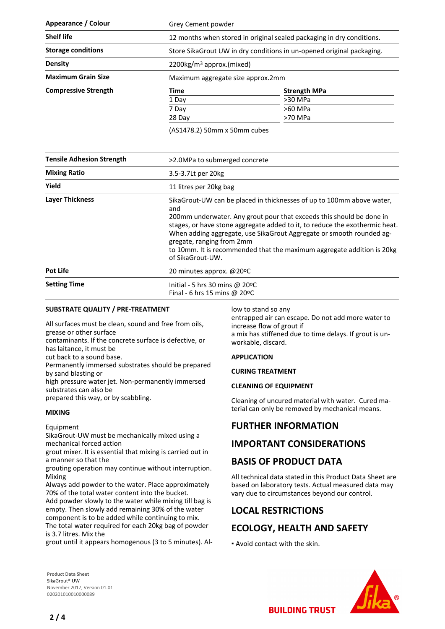| Appearance / Colour         | Grey Cement powder                                                    |                     |
|-----------------------------|-----------------------------------------------------------------------|---------------------|
| <b>Shelf life</b>           | 12 months when stored in original sealed packaging in dry conditions. |                     |
| <b>Storage conditions</b>   | Store SikaGrout UW in dry conditions in un-opened original packaging. |                     |
| <b>Density</b>              | $2200\mathrm{kg/m}^3$ approx.(mixed)                                  |                     |
| <b>Maximum Grain Size</b>   | Maximum aggregate size approx.2mm                                     |                     |
| <b>Compressive Strength</b> | Time                                                                  | <b>Strength MPa</b> |
|                             | 1 Day                                                                 | >30 MPa             |
|                             | 7 Day                                                                 | >60 MPa             |
|                             | 28 Day                                                                | >70 MPa             |

(AS1478.2) 50mm x 50mm cubes

| <b>Tensile Adhesion Strength</b> | >2.0MPa to submerged concrete                                                                                                                                                                                                                                                                                                                                                                                                          |  |
|----------------------------------|----------------------------------------------------------------------------------------------------------------------------------------------------------------------------------------------------------------------------------------------------------------------------------------------------------------------------------------------------------------------------------------------------------------------------------------|--|
| <b>Mixing Ratio</b>              | 3.5-3.7Lt per 20kg                                                                                                                                                                                                                                                                                                                                                                                                                     |  |
| Yield                            | 11 litres per 20kg bag                                                                                                                                                                                                                                                                                                                                                                                                                 |  |
| <b>Layer Thickness</b>           | SikaGrout-UW can be placed in thicknesses of up to 100mm above water.<br>and<br>200mm underwater. Any grout pour that exceeds this should be done in<br>stages, or have stone aggregate added to it, to reduce the exothermic heat.<br>When adding aggregate, use SikaGrout Aggregate or smooth rounded ag-<br>gregate, ranging from 2mm<br>to 10mm. It is recommended that the maximum aggregate addition is 20kg<br>of SikaGrout-UW. |  |
| Pot Life                         | 20 minutes approx. @20°C                                                                                                                                                                                                                                                                                                                                                                                                               |  |
| <b>Setting Time</b>              | Initial - 5 hrs 30 mins @ $20^{\circ}$ C<br>Final - 6 hrs 15 mins @ 20 $\degree$ C                                                                                                                                                                                                                                                                                                                                                     |  |

### **SUBSTRATE QUALITY / PRE-TREATMENT**

All surfaces must be clean, sound and free from oils, grease or other surface

contaminants. If the concrete surface is defective, or has laitance, it must be

cut back to a sound base.

Permanently immersed substrates should be prepared by sand blasting or

high pressure water jet. Non-permanently immersed substrates can also be

prepared this way, or by scabbling.

### **MIXING**

Equipment

SikaGrout-UW must be mechanically mixed using a mechanical forced action

grout mixer. It is essential that mixing is carried out in a manner so that the

grouting operation may continue without interruption. Mixing

Always add powder to the water. Place approximately 70% of the total water content into the bucket.

Add powder slowly to the water while mixing till bag is empty. Then slowly add remaining 30% of the water component is to be added while continuing to mix. The total water required for each 20kg bag of powder

is 3.7 litres. Mix the

grout until it appears homogenous (3 to 5 minutes). Al-

low to stand so any

entrapped air can escape. Do not add more water to increase flow of grout if a mix has stiffened due to time delays. If grout is unworkable, discard.

#### **APPLICATION**

#### **CURING TREATMENT**

#### **CLEANING OF EQUIPMENT**

Cleaning of uncured material with water. Cured material can only be removed by mechanical means.

# **FURTHER INFORMATION**

# **IMPORTANT CONSIDERATIONS**

# **BASIS OF PRODUCT DATA**

All technical data stated in this Product Data Sheet are based on laboratory tests. Actual measured data may vary due to circumstances beyond our control.

# **LOCAL RESTRICTIONS**

# **ECOLOGY, HEALTH AND SAFETY**

▪ Avoid contact with the skin.

**Product Data Sheet** SikaGrout® UW November 2017, Version 01.01 020201010010000089

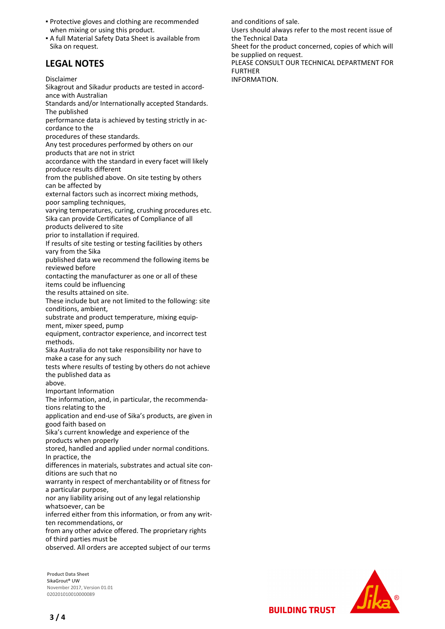- **Protective gloves and clothing are recommended** when mixing or using this product.
- A full Material Safety Data Sheet is available from Sika on request.

# **LEGAL NOTES**

Disclaimer

Sikagrout and Sikadur products are tested in accordance with Australian

Standards and/or Internationally accepted Standards. The published

performance data is achieved by testing strictly in accordance to the

procedures of these standards.

Any test procedures performed by others on our products that are not in strict

accordance with the standard in every facet will likely produce results different

from the published above. On site testing by others can be affected by

external factors such as incorrect mixing methods, poor sampling techniques,

varying temperatures, curing, crushing procedures etc. Sika can provide Certificates of Compliance of all

products delivered to site

prior to installation if required.

If results of site testing or testing facilities by others vary from the Sika

published data we recommend the following items be reviewed before

contacting the manufacturer as one or all of these items could be influencing

the results attained on site.

These include but are not limited to the following: site conditions, ambient,

substrate and product temperature, mixing equipment, mixer speed, pump

equipment, contractor experience, and incorrect test methods.

Sika Australia do not take responsibility nor have to make a case for any such

tests where results of testing by others do not achieve the published data as

above.

Important Information

The information, and, in particular, the recommendations relating to the

application and end-use of Sika's products, are given in good faith based on

Sika's current knowledge and experience of the products when properly

stored, handled and applied under normal conditions. In practice, the

differences in materials, substrates and actual site conditions are such that no

warranty in respect of merchantability or of fitness for a particular purpose,

nor any liability arising out of any legal relationship whatsoever, can be

inferred either from this information, or from any written recommendations, or

from any other advice offered. The proprietary rights of third parties must be

observed. All orders are accepted subject of our terms

**Product Data Sheet** SikaGrout® UW November 2017, Version 01.01 020201010010000089



**BUILDING TRUST** 

and conditions of sale.

Users should always refer to the most recent issue of the Technical Data

Sheet for the product concerned, copies of which will be supplied on request.

PLEASE CONSULT OUR TECHNICAL DEPARTMENT FOR FURTHER

INFORMATION.